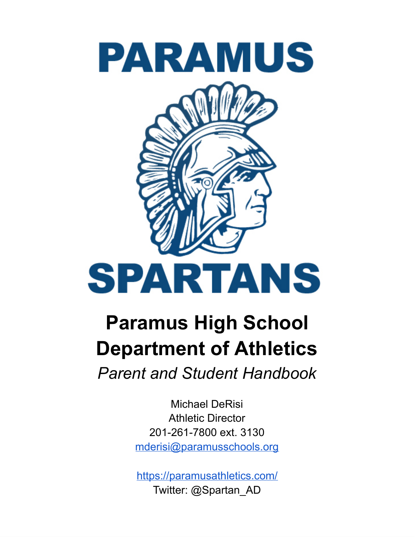

# **Paramus High School Department of Athletics** *Parent and Student Handbook*

Michael DeRisi Athletic Director 201-261-7800 ext. 3130 [mderisi@paramusschools.org](mailto:mderisi@paramusschools.org)

<https://paramusathletics.com/> Twitter: @Spartan\_AD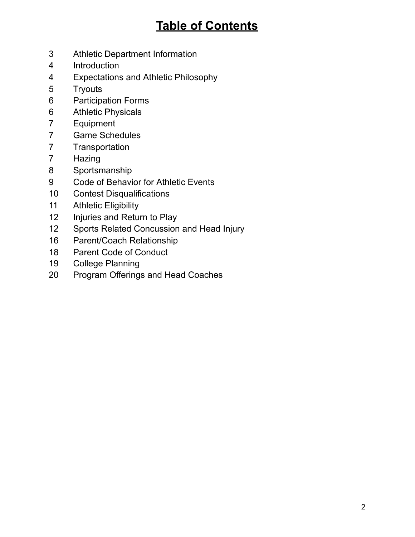# **Table of Contents**

- Athletic Department Information
- Introduction
- Expectations and Athletic Philosophy
- Tryouts
- Participation Forms
- Athletic Physicals
- Equipment
- Game Schedules
- Transportation
- Hazing
- Sportsmanship
- Code of Behavior for Athletic Events
- Contest Disqualifications
- Athletic Eligibility
- 12 Injuries and Return to Play
- Sports Related Concussion and Head Injury
- Parent/Coach Relationship
- Parent Code of Conduct
- College Planning
- Program Offerings and Head Coaches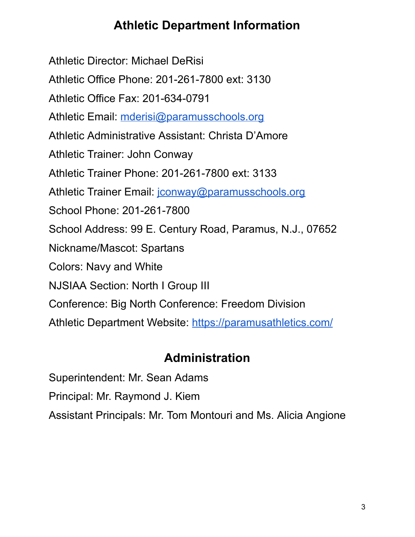### **Athletic Department Information**

Athletic Director: Michael DeRisi Athletic Office Phone: 201-261-7800 ext: 3130 Athletic Office Fax: 201-634-0791 Athletic Email: [mderisi@paramusschools.org](mailto:mderisi@paramusschools.org) Athletic Administrative Assistant: Christa D'Amore Athletic Trainer: John Conway Athletic Trainer Phone: 201-261-7800 ext: 3133 Athletic Trainer Email: [jconway@paramusschools.org](mailto:jconway@paramusschools.org) School Phone: 201-261-7800 School Address: 99 E. Century Road, Paramus, N.J., 07652 Nickname/Mascot: Spartans Colors: Navy and White NJSIAA Section: North I Group III Conference: Big North Conference: Freedom Division Athletic Department Website: <https://paramusathletics.com/>

# **Administration**

Superintendent: Mr. Sean Adams

Principal: Mr. Raymond J. Kiem

Assistant Principals: Mr. Tom Montouri and Ms. Alicia Angione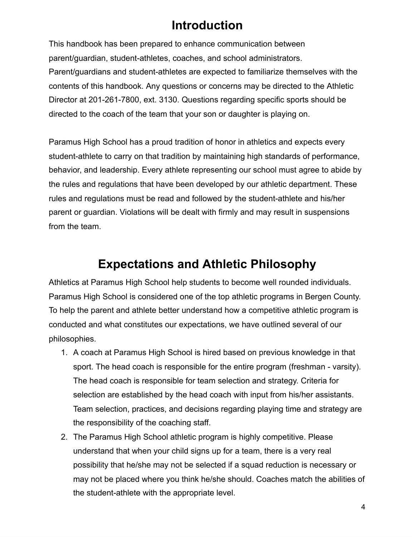### **Introduction**

This handbook has been prepared to enhance communication between parent/guardian, student-athletes, coaches, and school administrators. Parent/guardians and student-athletes are expected to familiarize themselves with the contents of this handbook. Any questions or concerns may be directed to the Athletic Director at 201-261-7800, ext. 3130. Questions regarding specific sports should be directed to the coach of the team that your son or daughter is playing on.

Paramus High School has a proud tradition of honor in athletics and expects every student-athlete to carry on that tradition by maintaining high standards of performance, behavior, and leadership. Every athlete representing our school must agree to abide by the rules and regulations that have been developed by our athletic department. These rules and regulations must be read and followed by the student-athlete and his/her parent or guardian. Violations will be dealt with firmly and may result in suspensions from the team.

### **Expectations and Athletic Philosophy**

Athletics at Paramus High School help students to become well rounded individuals. Paramus High School is considered one of the top athletic programs in Bergen County. To help the parent and athlete better understand how a competitive athletic program is conducted and what constitutes our expectations, we have outlined several of our philosophies.

- 1. A coach at Paramus High School is hired based on previous knowledge in that sport. The head coach is responsible for the entire program (freshman - varsity). The head coach is responsible for team selection and strategy. Criteria for selection are established by the head coach with input from his/her assistants. Team selection, practices, and decisions regarding playing time and strategy are the responsibility of the coaching staff.
- 2. The Paramus High School athletic program is highly competitive. Please understand that when your child signs up for a team, there is a very real possibility that he/she may not be selected if a squad reduction is necessary or may not be placed where you think he/she should. Coaches match the abilities of the student-athlete with the appropriate level.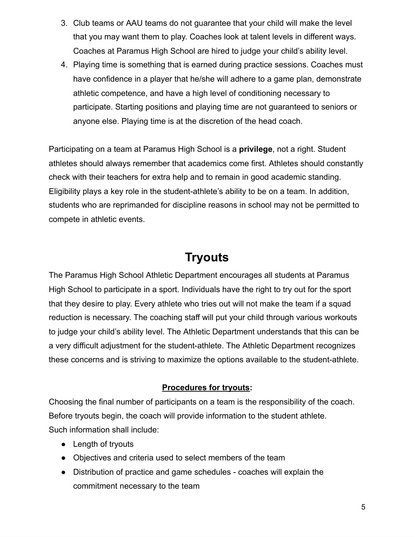- 3. Club teams or AAU teams do not guarantee that your child will make the level that you may want them to play. Coaches look at talent levels in different ways. Coaches at Paramus High School are hired to judge your child's ability level.
- 4. Playing time is something that is earned during practice sessions. Coaches must have confidence in a player that he/she will adhere to a game plan, demonstrate athletic competence, and have a high level of conditioning necessary to participate. Starting positions and playing time are not guaranteed to seniors or anyone else. Playing time is at the discretion of the head coach.

Participating on a team at Paramus High School is a **privilege**, not a right. Student athletes should always remember that academics come first. Athletes should constantly check with their teachers for extra help and to remain in good academic standing. Eligibility plays a key role in the student-athlete's ability to be on a team. In addition, students who are reprimanded for discipline reasons in school may not be permitted to compete in athletic events.

#### **Tryouts**

The Paramus High School Athletic Department encourages all students at Paramus High School to participate in a sport. Individuals have the right to try out for the sport that they desire to play. Every athlete who tries out will not make the team if a squad reduction is necessary. The coaching staff will put your child through various workouts to judge your child's ability level. The Athletic Department understands that this can be a very difficult adjustment for the student-athlete. The Athletic Department recognizes these concerns and is striving to maximize the options available to the student-athlete.

#### **Procedures for tryouts:**

Choosing the final number of participants on a team is the responsibility of the coach. Before tryouts begin, the coach will provide information to the student athlete. Such information shall include:

- Length of tryouts
- Objectives and criteria used to select members of the team
- Distribution of practice and game schedules coaches will explain the commitment necessary to the team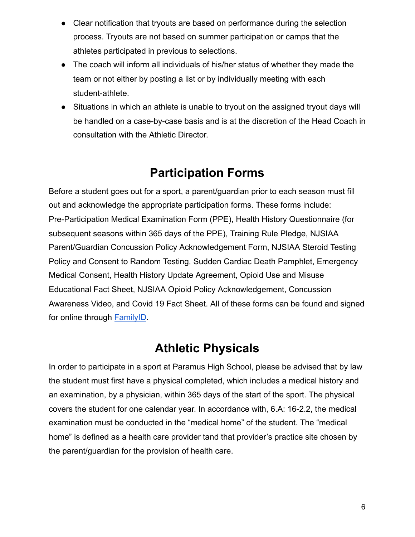- Clear notification that tryouts are based on performance during the selection process. Tryouts are not based on summer participation or camps that the athletes participated in previous to selections.
- The coach will inform all individuals of his/her status of whether they made the team or not either by posting a list or by individually meeting with each student-athlete.
- Situations in which an athlete is unable to tryout on the assigned tryout days will be handled on a case-by-case basis and is at the discretion of the Head Coach in consultation with the Athletic Director.

### **Participation Forms**

Before a student goes out for a sport, a parent/guardian prior to each season must fill out and acknowledge the appropriate participation forms. These forms include: Pre-Participation Medical Examination Form (PPE), Health History Questionnaire (for subsequent seasons within 365 days of the PPE), Training Rule Pledge, NJSIAA Parent/Guardian Concussion Policy Acknowledgement Form, NJSIAA Steroid Testing Policy and Consent to Random Testing, Sudden Cardiac Death Pamphlet, Emergency Medical Consent, Health History Update Agreement, Opioid Use and Misuse Educational Fact Sheet, NJSIAA Opioid Policy Acknowledgement, Concussion Awareness Video, and Covid 19 Fact Sheet. All of these forms can be found and signed for online through [FamilyID](https://www.familyid.com/organizations/paramus-high-school).

### **Athletic Physicals**

In order to participate in a sport at Paramus High School, please be advised that by law the student must first have a physical completed, which includes a medical history and an examination, by a physician, within 365 days of the start of the sport. The physical covers the student for one calendar year. In accordance with, 6.A: 16-2.2, the medical examination must be conducted in the "medical home" of the student. The "medical home" is defined as a health care provider tand that provider's practice site chosen by the parent/guardian for the provision of health care.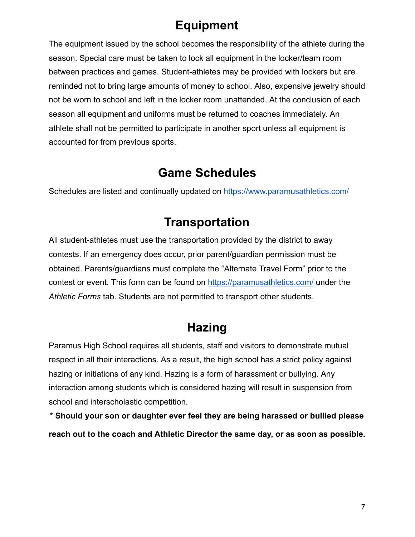# **Equipment**

The equipment issued by the school becomes the responsibility of the athlete during the season. Special care must be taken to lock all equipment in the locker/team room between practices and games. Student-athletes may be provided with lockers but are reminded not to bring large amounts of money to school. Also, expensive jewelry should not be worn to school and left in the locker room unattended. At the conclusion of each season all equipment and uniforms must be returned to coaches immediately. An athlete shall not be permitted to participate in another sport unless all equipment is accounted for from previous sports.

#### **Game Schedules**

Schedules are listed and continually updated on <https://www.paramusathletics.com/>

### **Transportation**

All student-athletes must use the transportation provided by the district to away contests. If an emergency does occur, prior parent/guardian permission must be obtained. Parents/guardians must complete the "Alternate Travel Form" prior to the contest or event. This form can be found on <https://paramusathletics.com/> under the *Athletic Forms* tab. Students are not permitted to transport other students.

### **Hazing**

Paramus High School requires all students, staff and visitors to demonstrate mutual respect in all their interactions. As a result, the high school has a strict policy against hazing or initiations of any kind. Hazing is a form of harassment or bullying. Any interaction among students which is considered hazing will result in suspension from school and interscholastic competition.

**\* Should your son or daughter ever feel they are being harassed or bullied please reach out to the coach and Athletic Director the same day, or as soon as possible.**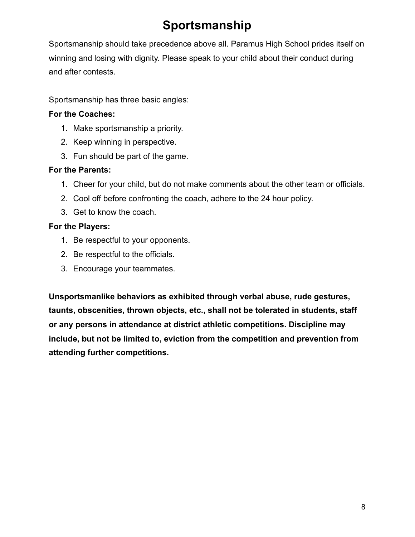# **Sportsmanship**

Sportsmanship should take precedence above all. Paramus High School prides itself on winning and losing with dignity. Please speak to your child about their conduct during and after contests.

Sportsmanship has three basic angles:

#### **For the Coaches:**

- 1. Make sportsmanship a priority.
- 2. Keep winning in perspective.
- 3. Fun should be part of the game.

#### **For the Parents:**

- 1. Cheer for your child, but do not make comments about the other team or officials.
- 2. Cool off before confronting the coach, adhere to the 24 hour policy.
- 3. Get to know the coach.

#### **For the Players:**

- 1. Be respectful to your opponents.
- 2. Be respectful to the officials.
- 3. Encourage your teammates.

**Unsportsmanlike behaviors as exhibited through verbal abuse, rude gestures, taunts, obscenities, thrown objects, etc., shall not be tolerated in students, staff or any persons in attendance at district athletic competitions. Discipline may include, but not be limited to, eviction from the competition and prevention from attending further competitions.**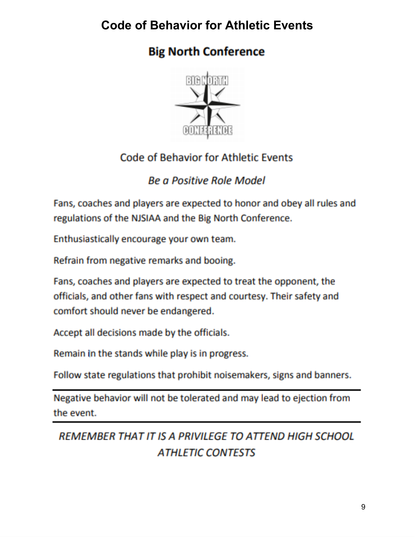## **Code of Behavior for Athletic Events**

# **Big North Conference**



### **Code of Behavior for Athletic Events**

### **Be a Positive Role Model**

Fans, coaches and players are expected to honor and obey all rules and regulations of the NJSIAA and the Big North Conference.

Enthusiastically encourage your own team.

Refrain from negative remarks and booing.

Fans, coaches and players are expected to treat the opponent, the officials, and other fans with respect and courtesy. Their safety and comfort should never be endangered.

Accept all decisions made by the officials.

Remain in the stands while play is in progress.

Follow state regulations that prohibit noisemakers, signs and banners.

Negative behavior will not be tolerated and may lead to ejection from the event.

## REMEMBER THAT IT IS A PRIVILEGE TO ATTEND HIGH SCHOOL *ATHLETIC CONTESTS*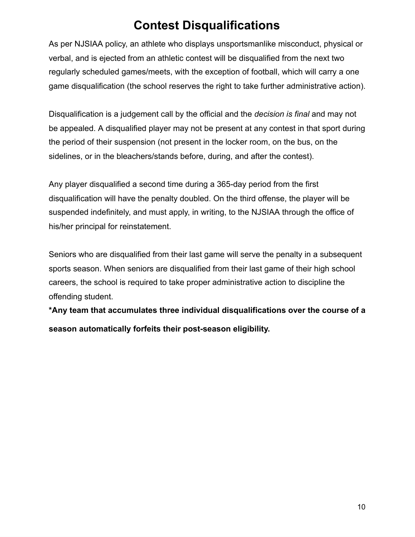### **Contest Disqualifications**

As per NJSIAA policy, an athlete who displays unsportsmanlike misconduct, physical or verbal, and is ejected from an athletic contest will be disqualified from the next two regularly scheduled games/meets, with the exception of football, which will carry a one game disqualification (the school reserves the right to take further administrative action).

Disqualification is a judgement call by the official and the *decision is final* and may not be appealed. A disqualified player may not be present at any contest in that sport during the period of their suspension (not present in the locker room, on the bus, on the sidelines, or in the bleachers/stands before, during, and after the contest).

Any player disqualified a second time during a 365-day period from the first disqualification will have the penalty doubled. On the third offense, the player will be suspended indefinitely, and must apply, in writing, to the NJSIAA through the office of his/her principal for reinstatement.

Seniors who are disqualified from their last game will serve the penalty in a subsequent sports season. When seniors are disqualified from their last game of their high school careers, the school is required to take proper administrative action to discipline the offending student.

**\*Any team that accumulates three individual disqualifications over the course of a season automatically forfeits their post-season eligibility.**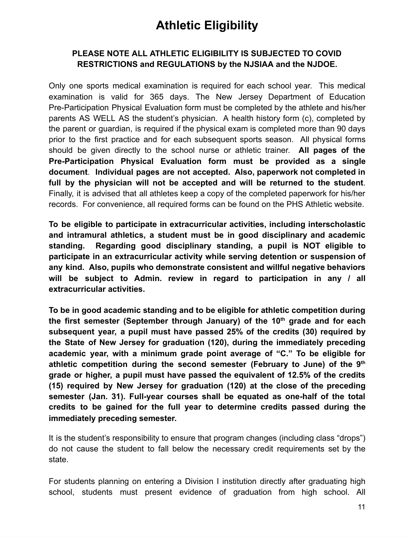### **Athletic Eligibility**

#### **PLEASE NOTE ALL ATHLETIC ELIGIBILITY IS SUBJECTED TO COVID RESTRICTIONS and REGULATIONS by the NJSIAA and the NJDOE.**

Only one sports medical examination is required for each school year. This medical examination is valid for 365 days. The New Jersey Department of Education Pre-Participation Physical Evaluation form must be completed by the athlete and his/her parents AS WELL AS the student's physician. A health history form (c), completed by the parent or guardian, is required if the physical exam is completed more than 90 days prior to the first practice and for each subsequent sports season. All physical forms should be given directly to the school nurse or athletic trainer. **All pages of the Pre-Participation Physical Evaluation form must be provided as a single document**. **Individual pages are not accepted. Also, paperwork not completed in full by the physician will not be accepted and will be returned to the student**. Finally, it is advised that all athletes keep a copy of the completed paperwork for his/her records. For convenience, all required forms can be found on the PHS Athletic website.

**To be eligible to participate in extracurricular activities, including interscholastic and intramural athletics, a student must be in good disciplinary and academic standing. Regarding good disciplinary standing, a pupil is NOT eligible to participate in an extracurricular activity while serving detention or suspension of any kind. Also, pupils who demonstrate consistent and willful negative behaviors will be subject to Admin. review in regard to participation in any / all extracurricular activities.**

**To be in good academic standing and to be eligible for athletic competition during the first semester (September through January) of the 10th grade and for each subsequent year, a pupil must have passed 25% of the credits (30) required by the State of New Jersey for graduation (120), during the immediately preceding academic year, with a minimum grade point average of "C." To be eligible for athletic competition during the second semester (February to June) of the 9 th grade or higher, a pupil must have passed the equivalent of 12.5% of the credits (15) required by New Jersey for graduation (120) at the close of the preceding semester (Jan. 31). Full-year courses shall be equated as one-half of the total credits to be gained for the full year to determine credits passed during the immediately preceding semester.**

It is the student's responsibility to ensure that program changes (including class "drops") do not cause the student to fall below the necessary credit requirements set by the state.

For students planning on entering a Division I institution directly after graduating high school, students must present evidence of graduation from high school. All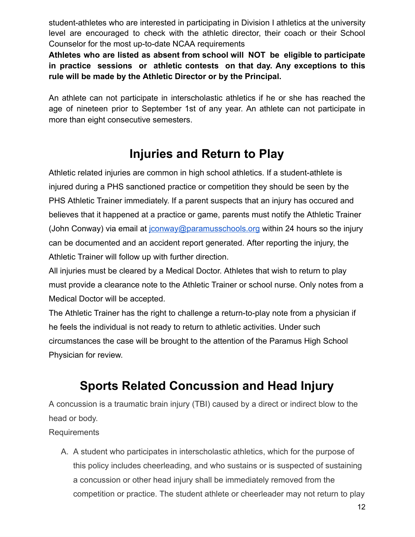student-athletes who are interested in participating in Division I athletics at the university level are encouraged to check with the athletic director, their coach or their School Counselor for the most up-to-date NCAA requirements

**Athletes who are listed as absent from school will NOT be eligible to participate in practice sessions or athletic contests on that day. Any exceptions to this rule will be made by the Athletic Director or by the Principal.**

An athlete can not participate in interscholastic athletics if he or she has reached the age of nineteen prior to September 1st of any year. An athlete can not participate in more than eight consecutive semesters.

# **Injuries and Return to Play**

Athletic related injuries are common in high school athletics. If a student-athlete is injured during a PHS sanctioned practice or competition they should be seen by the PHS Athletic Trainer immediately. If a parent suspects that an injury has occured and believes that it happened at a practice or game, parents must notify the Athletic Trainer (John Conway) via email at  $\frac{1}{10}$  isonway @paramusschools.org within 24 hours so the injury can be documented and an accident report generated. After reporting the injury, the Athletic Trainer will follow up with further direction.

All injuries must be cleared by a Medical Doctor. Athletes that wish to return to play must provide a clearance note to the Athletic Trainer or school nurse. Only notes from a Medical Doctor will be accepted.

The Athletic Trainer has the right to challenge a return-to-play note from a physician if he feels the individual is not ready to return to athletic activities. Under such circumstances the case will be brought to the attention of the Paramus High School Physician for review.

# **Sports Related Concussion and Head Injury**

A concussion is a traumatic brain injury (TBI) caused by a direct or indirect blow to the head or body.

Requirements

A. A student who participates in interscholastic athletics, which for the purpose of this policy includes cheerleading, and who sustains or is suspected of sustaining a concussion or other head injury shall be immediately removed from the competition or practice. The student athlete or cheerleader may not return to play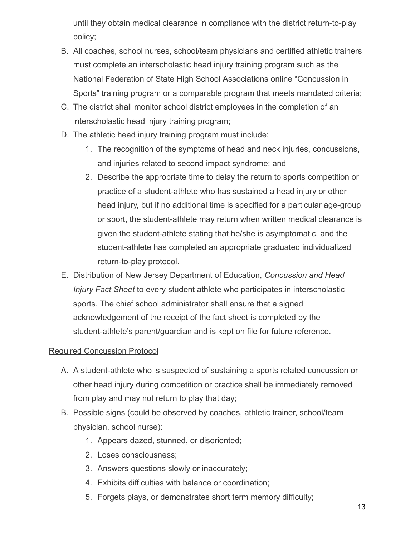until they obtain medical clearance in compliance with the district return-to-play policy;

- B. All coaches, school nurses, school/team physicians and certified athletic trainers must complete an interscholastic head injury training program such as the National Federation of State High School Associations online "Concussion in Sports" training program or a comparable program that meets mandated criteria;
- C. The district shall monitor school district employees in the completion of an interscholastic head injury training program;
- D. The athletic head injury training program must include:
	- 1. The recognition of the symptoms of head and neck injuries, concussions, and injuries related to second impact syndrome; and
	- 2. Describe the appropriate time to delay the return to sports competition or practice of a student-athlete who has sustained a head injury or other head injury, but if no additional time is specified for a particular age-group or sport, the student-athlete may return when written medical clearance is given the student-athlete stating that he/she is asymptomatic, and the student-athlete has completed an appropriate graduated individualized return-to-play protocol.
- E. Distribution of New Jersey Department of Education, *Concussion and Head Injury Fact Sheet* to every student athlete who participates in interscholastic sports. The chief school administrator shall ensure that a signed acknowledgement of the receipt of the fact sheet is completed by the student-athlete's parent/guardian and is kept on file for future reference.

#### Required Concussion Protocol

- A. A student-athlete who is suspected of sustaining a sports related concussion or other head injury during competition or practice shall be immediately removed from play and may not return to play that day;
- B. Possible signs (could be observed by coaches, athletic trainer, school/team physician, school nurse):
	- 1. Appears dazed, stunned, or disoriented;
	- 2. Loses consciousness;
	- 3. Answers questions slowly or inaccurately;
	- 4. Exhibits difficulties with balance or coordination;
	- 5. Forgets plays, or demonstrates short term memory difficulty;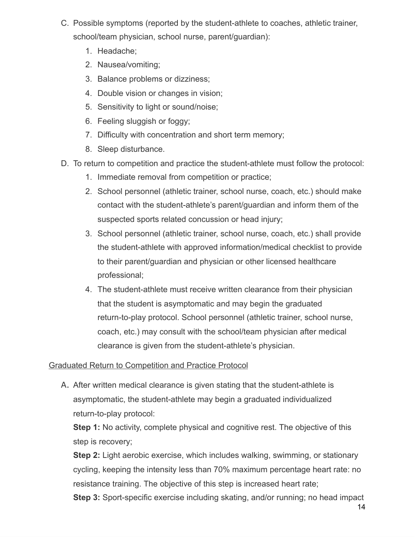- C. Possible symptoms (reported by the student-athlete to coaches, athletic trainer, school/team physician, school nurse, parent/guardian):
	- 1. Headache;
	- 2. Nausea/vomiting;
	- 3. Balance problems or dizziness;
	- 4. Double vision or changes in vision;
	- 5. Sensitivity to light or sound/noise;
	- 6. Feeling sluggish or foggy;
	- 7. Difficulty with concentration and short term memory;
	- 8. Sleep disturbance.
- D. To return to competition and practice the student-athlete must follow the protocol:
	- 1. Immediate removal from competition or practice;
	- 2. School personnel (athletic trainer, school nurse, coach, etc.) should make contact with the student-athlete's parent/guardian and inform them of the suspected sports related concussion or head injury;
	- 3. School personnel (athletic trainer, school nurse, coach, etc.) shall provide the student-athlete with approved information/medical checklist to provide to their parent/guardian and physician or other licensed healthcare professional;
	- 4. The student-athlete must receive written clearance from their physician that the student is asymptomatic and may begin the graduated return-to-play protocol. School personnel (athletic trainer, school nurse, coach, etc.) may consult with the school/team physician after medical clearance is given from the student-athlete's physician.

#### Graduated Return to Competition and Practice Protocol

A. After written medical clearance is given stating that the student-athlete is asymptomatic, the student-athlete may begin a graduated individualized return-to-play protocol:

**Step 1:** No activity, complete physical and cognitive rest. The objective of this step is recovery;

**Step 2:** Light aerobic exercise, which includes walking, swimming, or stationary cycling, keeping the intensity less than 70% maximum percentage heart rate: no resistance training. The objective of this step is increased heart rate;

**Step 3:** Sport-specific exercise including skating, and/or running; no head impact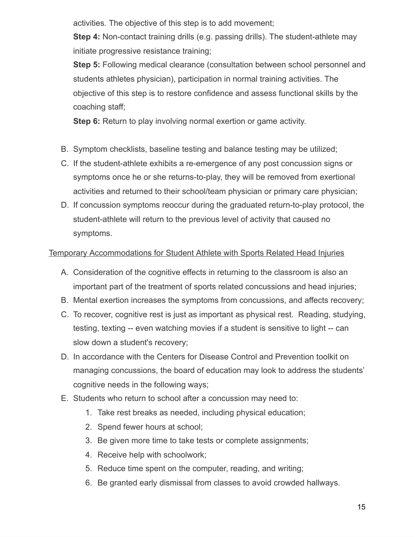activities. The objective of this step is to add movement;

**Step 4:** Non-contact training drills (e.g. passing drills). The student-athlete may initiate progressive resistance training;

**Step 5:** Following medical clearance (consultation between school personnel and students athletes physician), participation in normal training activities. The objective of this step is to restore confidence and assess functional skills by the coaching staff;

**Step 6:** Return to play involving normal exertion or game activity.

- B. Symptom checklists, baseline testing and balance testing may be utilized;
- C. If the student-athlete exhibits a re-emergence of any post concussion signs or symptoms once he or she returns-to-play, they will be removed from exertional activities and returned to their school/team physician or primary care physician;
- D. If concussion symptoms reoccur during the graduated return-to-play protocol, the student-athlete will return to the previous level of activity that caused no symptoms.

#### Temporary Accommodations for Student Athlete with Sports Related Head Injuries

- A. Consideration of the cognitive effects in returning to the classroom is also an important part of the treatment of sports related concussions and head injuries;
- B. Mental exertion increases the symptoms from concussions, and affects recovery;
- C. To recover, cognitive rest is just as important as physical rest. Reading, studying, testing, texting -- even watching movies if a student is sensitive to light -- can slow down a student's recovery;
- D. In accordance with the Centers for Disease Control and Prevention toolkit on managing concussions, the board of education may look to address the students' cognitive needs in the following ways;
- E. Students who return to school after a concussion may need to:
	- 1. Take rest breaks as needed, including physical education;
	- 2. Spend fewer hours at school;
	- 3. Be given more time to take tests or complete assignments;
	- 4. Receive help with schoolwork;
	- 5. Reduce time spent on the computer, reading, and writing;
	- 6. Be granted early dismissal from classes to avoid crowded hallways.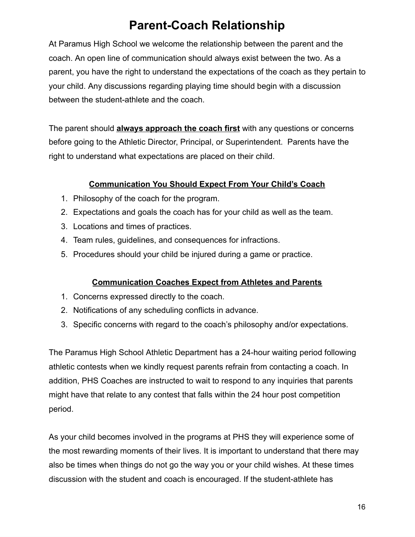# **Parent-Coach Relationship**

At Paramus High School we welcome the relationship between the parent and the coach. An open line of communication should always exist between the two. As a parent, you have the right to understand the expectations of the coach as they pertain to your child. Any discussions regarding playing time should begin with a discussion between the student-athlete and the coach.

The parent should **always approach the coach first** with any questions or concerns before going to the Athletic Director, Principal, or Superintendent. Parents have the right to understand what expectations are placed on their child.

#### **Communication You Should Expect From Your Child's Coach**

- 1. Philosophy of the coach for the program.
- 2. Expectations and goals the coach has for your child as well as the team.
- 3. Locations and times of practices.
- 4. Team rules, guidelines, and consequences for infractions.
- 5. Procedures should your child be injured during a game or practice.

#### **Communication Coaches Expect from Athletes and Parents**

- 1. Concerns expressed directly to the coach.
- 2. Notifications of any scheduling conflicts in advance.
- 3. Specific concerns with regard to the coach's philosophy and/or expectations.

The Paramus High School Athletic Department has a 24-hour waiting period following athletic contests when we kindly request parents refrain from contacting a coach. In addition, PHS Coaches are instructed to wait to respond to any inquiries that parents might have that relate to any contest that falls within the 24 hour post competition period.

As your child becomes involved in the programs at PHS they will experience some of the most rewarding moments of their lives. It is important to understand that there may also be times when things do not go the way you or your child wishes. At these times discussion with the student and coach is encouraged. If the student-athlete has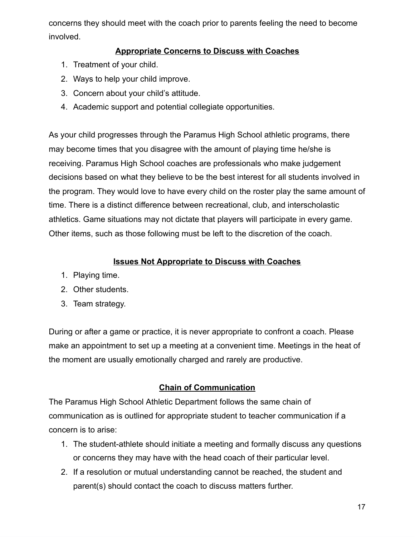concerns they should meet with the coach prior to parents feeling the need to become involved.

#### **Appropriate Concerns to Discuss with Coaches**

- 1. Treatment of your child.
- 2. Ways to help your child improve.
- 3. Concern about your child's attitude.
- 4. Academic support and potential collegiate opportunities.

As your child progresses through the Paramus High School athletic programs, there may become times that you disagree with the amount of playing time he/she is receiving. Paramus High School coaches are professionals who make judgement decisions based on what they believe to be the best interest for all students involved in the program. They would love to have every child on the roster play the same amount of time. There is a distinct difference between recreational, club, and interscholastic athletics. Game situations may not dictate that players will participate in every game. Other items, such as those following must be left to the discretion of the coach.

#### **Issues Not Appropriate to Discuss with Coaches**

- 1. Playing time.
- 2. Other students.
- 3. Team strategy.

During or after a game or practice, it is never appropriate to confront a coach. Please make an appointment to set up a meeting at a convenient time. Meetings in the heat of the moment are usually emotionally charged and rarely are productive.

#### **Chain of Communication**

The Paramus High School Athletic Department follows the same chain of communication as is outlined for appropriate student to teacher communication if a concern is to arise:

- 1. The student-athlete should initiate a meeting and formally discuss any questions or concerns they may have with the head coach of their particular level.
- 2. If a resolution or mutual understanding cannot be reached, the student and parent(s) should contact the coach to discuss matters further.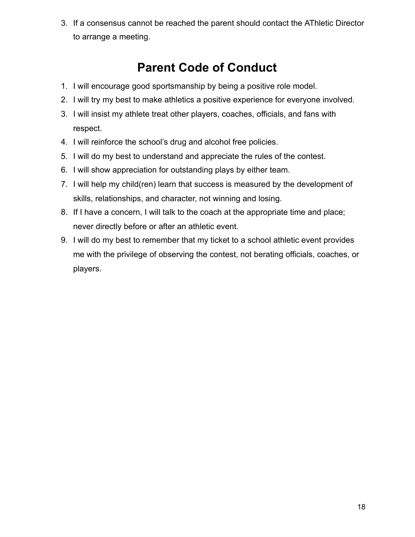3. If a consensus cannot be reached the parent should contact the AThletic Director to arrange a meeting.

# **Parent Code of Conduct**

- 1. I will encourage good sportsmanship by being a positive role model.
- 2. I will try my best to make athletics a positive experience for everyone involved.
- 3. I will insist my athlete treat other players, coaches, officials, and fans with respect.
- 4. I will reinforce the school's drug and alcohol free policies.
- 5. I will do my best to understand and appreciate the rules of the contest.
- 6. I will show appreciation for outstanding plays by either team.
- 7. I will help my child(ren) learn that success is measured by the development of skills, relationships, and character, not winning and losing.
- 8. If I have a concern, I will talk to the coach at the appropriate time and place; never directly before or after an athletic event.
- 9. I will do my best to remember that my ticket to a school athletic event provides me with the privilege of observing the contest, not berating officials, coaches, or players.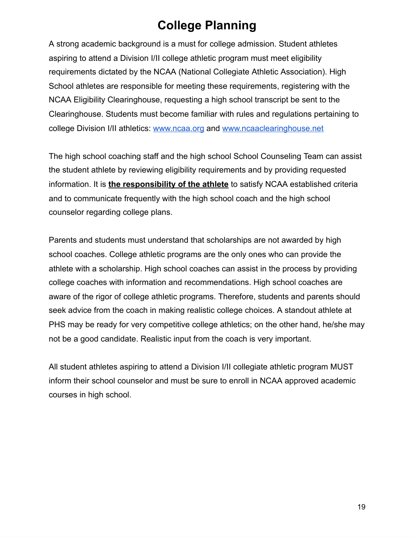### **College Planning**

A strong academic background is a must for college admission. Student athletes aspiring to attend a Division I/II college athletic program must meet eligibility requirements dictated by the NCAA (National Collegiate Athletic Association). High School athletes are responsible for meeting these requirements, registering with the NCAA Eligibility Clearinghouse, requesting a high school transcript be sent to the Clearinghouse. Students must become familiar with rules and regulations pertaining to college Division I/II athletics: [www.ncaa.org](http://www.ncaa.org/) and [www.ncaaclearinghouse.net](http://www.ncaaclearinghouse.net/)

The high school coaching staff and the high school School Counseling Team can assist the student athlete by reviewing eligibility requirements and by providing requested information. It is **the responsibility of the athlete** to satisfy NCAA established criteria and to communicate frequently with the high school coach and the high school counselor regarding college plans.

Parents and students must understand that scholarships are not awarded by high school coaches. College athletic programs are the only ones who can provide the athlete with a scholarship. High school coaches can assist in the process by providing college coaches with information and recommendations. High school coaches are aware of the rigor of college athletic programs. Therefore, students and parents should seek advice from the coach in making realistic college choices. A standout athlete at PHS may be ready for very competitive college athletics; on the other hand, he/she may not be a good candidate. Realistic input from the coach is very important.

All student athletes aspiring to attend a Division I/II collegiate athletic program MUST inform their school counselor and must be sure to enroll in NCAA approved academic courses in high school.